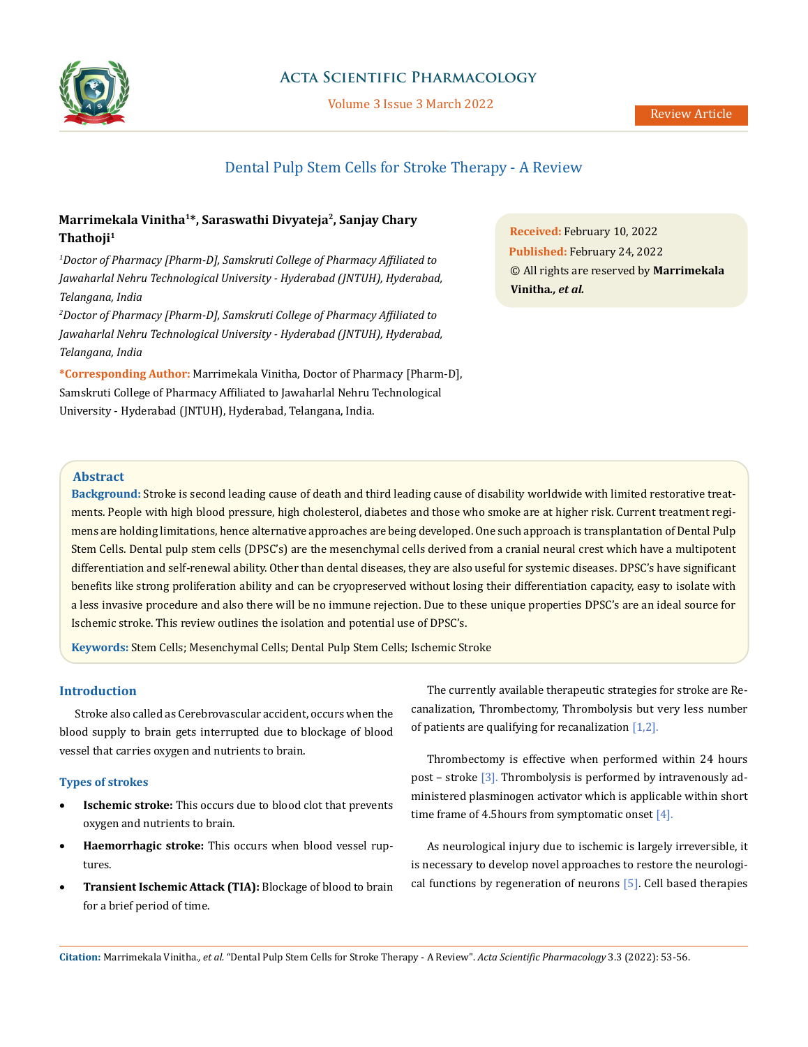

## **Acta Scientific Pharmacology**

Volume 3 Issue 3 March 2022

# Dental Pulp Stem Cells for Stroke Therapy - A Review

## **Marrimekala Vinitha1\*, Saraswathi Divyateja2, Sanjay Chary Thathoji1**

*1 Doctor of Pharmacy [Pharm-D], Samskruti College of Pharmacy Affiliated to Jawaharlal Nehru Technological University - Hyderabad (JNTUH), Hyderabad, Telangana, India*

*2 Doctor of Pharmacy [Pharm-D], Samskruti College of Pharmacy Affiliated to Jawaharlal Nehru Technological University - Hyderabad (JNTUH), Hyderabad, Telangana, India*

**\*Corresponding Author:** Marrimekala Vinitha, Doctor of Pharmacy [Pharm-D], Samskruti College of Pharmacy Affiliated to Jawaharlal Nehru Technological University - Hyderabad (JNTUH), Hyderabad, Telangana, India.

**Received:** February 10, 2022 **Published:** February 24, 2022 © All rights are reserved by **Marrimekala Vinitha***., et al.*

#### **Abstract**

**Background:** Stroke is second leading cause of death and third leading cause of disability worldwide with limited restorative treatments. People with high blood pressure, high cholesterol, diabetes and those who smoke are at higher risk. Current treatment regimens are holding limitations, hence alternative approaches are being developed. One such approach is transplantation of Dental Pulp Stem Cells. Dental pulp stem cells (DPSC's) are the mesenchymal cells derived from a cranial neural crest which have a multipotent differentiation and self-renewal ability. Other than dental diseases, they are also useful for systemic diseases. DPSC's have significant benefits like strong proliferation ability and can be cryopreserved without losing their differentiation capacity, easy to isolate with a less invasive procedure and also there will be no immune rejection. Due to these unique properties DPSC's are an ideal source for Ischemic stroke. This review outlines the isolation and potential use of DPSC's.

**Keywords:** Stem Cells; Mesenchymal Cells; Dental Pulp Stem Cells; Ischemic Stroke

## **Introduction**

Stroke also called as Cerebrovascular accident, occurs when the blood supply to brain gets interrupted due to blockage of blood vessel that carries oxygen and nutrients to brain.

#### **Types of strokes**

- • **Ischemic stroke:** This occurs due to blood clot that prevents oxygen and nutrients to brain.
- • **Haemorrhagic stroke:** This occurs when blood vessel ruptures.
- • **Transient Ischemic Attack (TIA):** Blockage of blood to brain for a brief period of time.

The currently available therapeutic strategies for stroke are Recanalization, Thrombectomy, Thrombolysis but very less number of patients are qualifying for recanalization [1,2].

Thrombectomy is effective when performed within 24 hours post – stroke [3]. Thrombolysis is performed by intravenously administered plasminogen activator which is applicable within short time frame of 4.5 hours from symptomatic onset  $[4]$ .

As neurological injury due to ischemic is largely irreversible, it is necessary to develop novel approaches to restore the neurological functions by regeneration of neurons [5]. Cell based therapies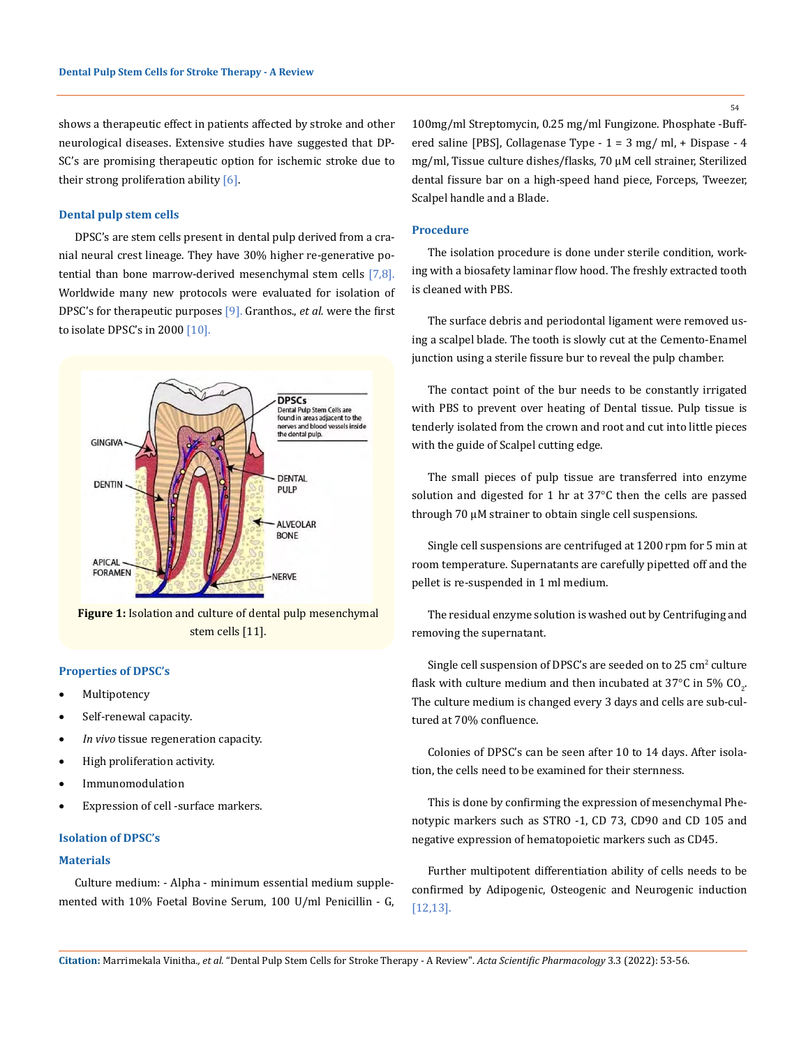shows a therapeutic effect in patients affected by stroke and other neurological diseases. Extensive studies have suggested that DP-SC's are promising therapeutic option for ischemic stroke due to their strong proliferation ability [6].

#### **Dental pulp stem cells**

DPSC's are stem cells present in dental pulp derived from a cranial neural crest lineage. They have 30% higher re-generative potential than bone marrow-derived mesenchymal stem cells  $[7,8]$ . Worldwide many new protocols were evaluated for isolation of DPSC's for therapeutic purposes [9]. Granthos., *et al.* were the first to isolate DPSC's in 2000  $[10]$ .



**Figure 1:** Isolation and culture of dental pulp mesenchymal stem cells [11].

#### **Properties of DPSC's**

- **Multipotency**
- Self-renewal capacity.
- In vivo tissue regeneration capacity.
- • High proliferation activity.
- **Immunomodulation**
- Expression of cell -surface markers.

#### **Isolation of DPSC's**

#### **Materials**

Culture medium: - Alpha - minimum essential medium supplemented with 10% Foetal Bovine Serum, 100 U/ml Penicillin - G, 100mg/ml Streptomycin, 0.25 mg/ml Fungizone. Phosphate -Buffered saline [PBS], Collagenase Type - 1 = 3 mg/ ml, + Dispase - 4 mg/ml, Tissue culture dishes/flasks, 70 μM cell strainer, Sterilized dental fissure bar on a high-speed hand piece, Forceps, Tweezer, Scalpel handle and a Blade.

#### **Procedure**

The isolation procedure is done under sterile condition, working with a biosafety laminar flow hood. The freshly extracted tooth is cleaned with PBS.

The surface debris and periodontal ligament were removed using a scalpel blade. The tooth is slowly cut at the Cemento-Enamel junction using a sterile fissure bur to reveal the pulp chamber.

The contact point of the bur needs to be constantly irrigated with PBS to prevent over heating of Dental tissue. Pulp tissue is tenderly isolated from the crown and root and cut into little pieces with the guide of Scalpel cutting edge.

The small pieces of pulp tissue are transferred into enzyme solution and digested for 1 hr at 37°C then the cells are passed through 70 μM strainer to obtain single cell suspensions.

Single cell suspensions are centrifuged at 1200 rpm for 5 min at room temperature. Supernatants are carefully pipetted off and the pellet is re-suspended in 1 ml medium.

The residual enzyme solution is washed out by Centrifuging and removing the supernatant.

Single cell suspension of DPSC's are seeded on to  $25 \text{ cm}^2$  culture flask with culture medium and then incubated at 37°C in 5% CO<sub>2</sub>. The culture medium is changed every 3 days and cells are sub-cultured at 70% confluence.

Colonies of DPSC's can be seen after 10 to 14 days. After isolation, the cells need to be examined for their sternness.

This is done by confirming the expression of mesenchymal Phenotypic markers such as STRO -1, CD 73, CD90 and CD 105 and negative expression of hematopoietic markers such as CD45.

Further multipotent differentiation ability of cells needs to be confirmed by Adipogenic, Osteogenic and Neurogenic induction [12,13].

54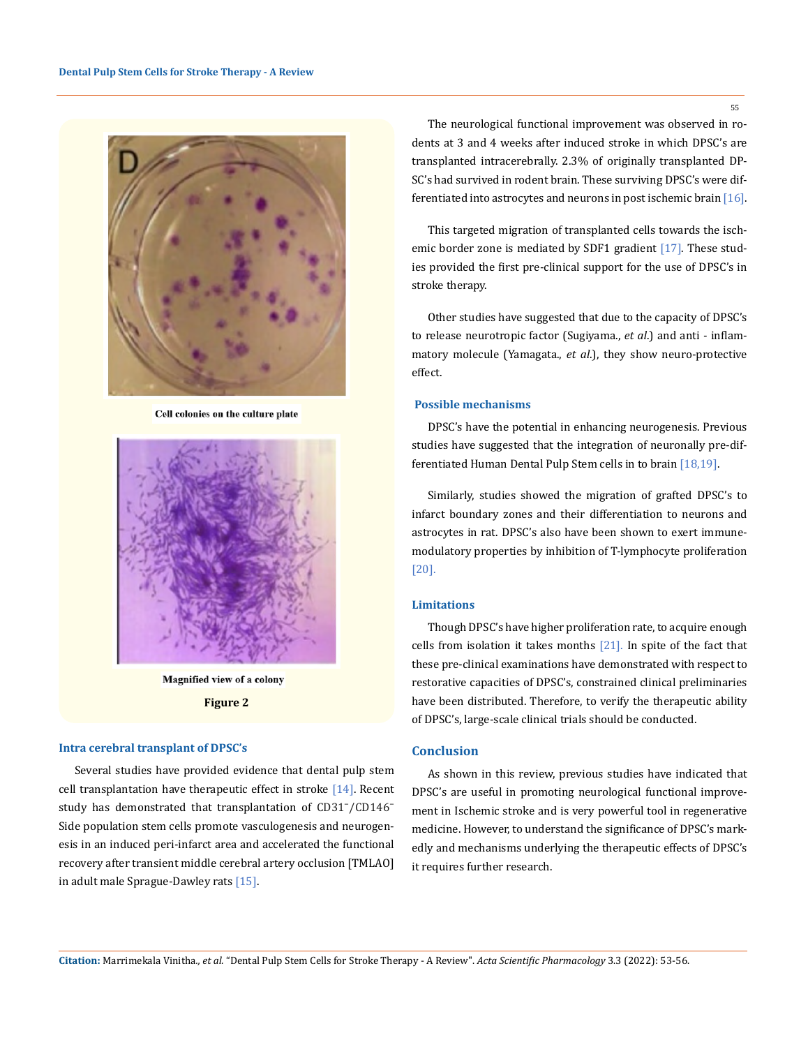

Cell colonies on the culture plate



Magnified view of a colony **Figure 2**

#### **Intra cerebral transplant of DPSC's**

Several studies have provided evidence that dental pulp stem cell transplantation have therapeutic effect in stroke  $[14]$ . Recent study has demonstrated that transplantation of CD31<sup>-</sup>/CD146<sup>-</sup> Side population stem cells promote vasculogenesis and neurogenesis in an induced peri-infarct area and accelerated the functional recovery after transient middle cerebral artery occlusion [TMLAO] in adult male Sprague-Dawley rats [15].

The neurological functional improvement was observed in rodents at 3 and 4 weeks after induced stroke in which DPSC's are transplanted intracerebrally. 2.3% of originally transplanted DP-SC's had survived in rodent brain. These surviving DPSC's were differentiated into astrocytes and neurons in post ischemic brain [16].

This targeted migration of transplanted cells towards the ischemic border zone is mediated by SDF1 gradient  $[17]$ . These studies provided the first pre-clinical support for the use of DPSC's in stroke therapy.

Other studies have suggested that due to the capacity of DPSC's to release neurotropic factor (Sugiyama., *et al*.) and anti - inflammatory molecule (Yamagata., *et al*.), they show neuro-protective effect.

#### **Possible mechanisms**

DPSC's have the potential in enhancing neurogenesis. Previous studies have suggested that the integration of neuronally pre-differentiated Human Dental Pulp Stem cells in to brain [18,19].

Similarly, studies showed the migration of grafted DPSC's to infarct boundary zones and their differentiation to neurons and astrocytes in rat. DPSC's also have been shown to exert immunemodulatory properties by inhibition of T-lymphocyte proliferation [20].

#### **Limitations**

Though DPSC's have higher proliferation rate, to acquire enough cells from isolation it takes months [21]. In spite of the fact that these pre-clinical examinations have demonstrated with respect to restorative capacities of DPSC's, constrained clinical preliminaries have been distributed. Therefore, to verify the therapeutic ability of DPSC's, large-scale clinical trials should be conducted.

#### **Conclusion**

As shown in this review, previous studies have indicated that DPSC's are useful in promoting neurological functional improvement in Ischemic stroke and is very powerful tool in regenerative medicine. However, to understand the significance of DPSC's markedly and mechanisms underlying the therapeutic effects of DPSC's it requires further research.

55